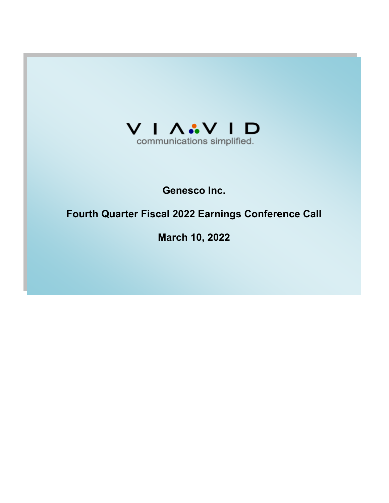

# **Genesco Inc.**

# **Fourth Quarter Fiscal 2022 Earnings Conference Call**

**March 10, 2022**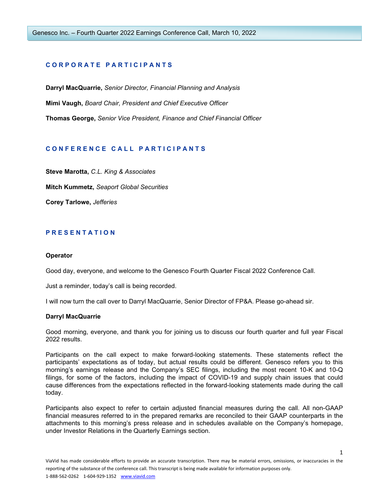## **C O R P O R A T E P A R T I C I P A N T S**

**Darryl MacQuarrie,** *Senior Director, Financial Planning and Analysis* **Mimi Vaugh,** *Board Chair, President and Chief Executive Officer* **Thomas George,** *Senior Vice President, Finance and Chief Financial Officer*

# **C O N F E R E N C E C A L L P A R T I C I P A N T S**

**Steve Marotta,** *C.L. King & Associates* **Mitch Kummetz,** *Seaport Global Securities* **Corey Tarlowe,** *Jefferies*

## **P R E S E N T A T I O N**

#### **Operator**

Good day, everyone, and welcome to the Genesco Fourth Quarter Fiscal 2022 Conference Call.

Just a reminder, today's call is being recorded.

I will now turn the call over to Darryl MacQuarrie, Senior Director of FP&A. Please go-ahead sir.

#### **Darryl MacQuarrie**

Good morning, everyone, and thank you for joining us to discuss our fourth quarter and full year Fiscal 2022 results.

Participants on the call expect to make forward-looking statements. These statements reflect the participants' expectations as of today, but actual results could be different. Genesco refers you to this morning's earnings release and the Company's SEC filings, including the most recent 10-K and 10-Q filings, for some of the factors, including the impact of COVID-19 and supply chain issues that could cause differences from the expectations reflected in the forward-looking statements made during the call today.

Participants also expect to refer to certain adjusted financial measures during the call. All non-GAAP financial measures referred to in the prepared remarks are reconciled to their GAAP counterparts in the attachments to this morning's press release and in schedules available on the Company's homepage, under Investor Relations in the Quarterly Earnings section.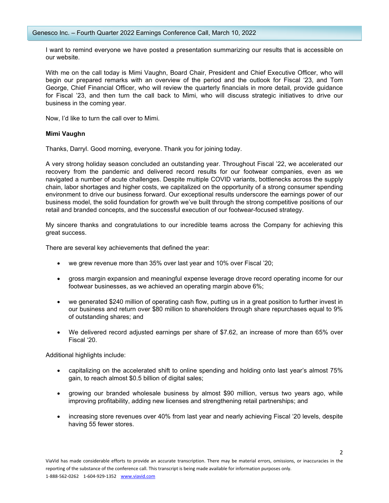I want to remind everyone we have posted a presentation summarizing our results that is accessible on our website.

With me on the call today is Mimi Vaughn, Board Chair, President and Chief Executive Officer, who will begin our prepared remarks with an overview of the period and the outlook for Fiscal '23, and Tom George, Chief Financial Officer, who will review the quarterly financials in more detail, provide guidance for Fiscal '23, and then turn the call back to Mimi, who will discuss strategic initiatives to drive our business in the coming year.

Now, I'd like to turn the call over to Mimi.

#### **Mimi Vaughn**

Thanks, Darryl. Good morning, everyone. Thank you for joining today.

A very strong holiday season concluded an outstanding year. Throughout Fiscal '22, we accelerated our recovery from the pandemic and delivered record results for our footwear companies, even as we navigated a number of acute challenges. Despite multiple COVID variants, bottlenecks across the supply chain, labor shortages and higher costs, we capitalized on the opportunity of a strong consumer spending environment to drive our business forward. Our exceptional results underscore the earnings power of our business model, the solid foundation for growth we've built through the strong competitive positions of our retail and branded concepts, and the successful execution of our footwear-focused strategy.

My sincere thanks and congratulations to our incredible teams across the Company for achieving this great success.

There are several key achievements that defined the year:

- we grew revenue more than 35% over last year and 10% over Fiscal '20;
- gross margin expansion and meaningful expense leverage drove record operating income for our footwear businesses, as we achieved an operating margin above 6%;
- we generated \$240 million of operating cash flow, putting us in a great position to further invest in our business and return over \$80 million to shareholders through share repurchases equal to 9% of outstanding shares; and
- We delivered record adjusted earnings per share of \$7.62, an increase of more than 65% over Fiscal '20.

Additional highlights include:

- capitalizing on the accelerated shift to online spending and holding onto last year's almost 75% gain, to reach almost \$0.5 billion of digital sales;
- growing our branded wholesale business by almost \$90 million, versus two years ago, while improving profitability, adding new licenses and strengthening retail partnerships; and
- increasing store revenues over 40% from last year and nearly achieving Fiscal '20 levels, despite having 55 fewer stores.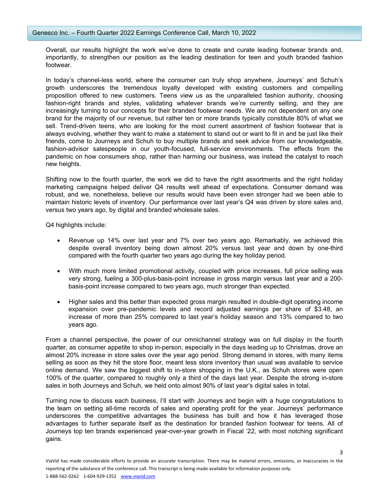Overall, our results highlight the work we've done to create and curate leading footwear brands and, importantly, to strengthen our position as the leading destination for teen and youth branded fashion footwear.

In today's channel-less world, where the consumer can truly shop anywhere, Journeys' and Schuh's growth underscores the tremendous loyalty developed with existing customers and compelling proposition offered to new customers. Teens view us as the unparalleled fashion authority, choosing fashion-right brands and styles, validating whatever brands we're currently selling, and they are increasingly turning to our concepts for their branded footwear needs. We are not dependent on any one brand for the majority of our revenue, but rather ten or more brands typically constitute 80% of what we sell. Trend-driven teens, who are looking for the most current assortment of fashion footwear that is always evolving, whether they want to make a statement to stand out or want to fit in and be just like their friends, come to Journeys and Schuh to buy multiple brands and seek advice from our knowledgeable, fashion-advisor salespeople in our youth-focused, full-service environments. The effects from the pandemic on how consumers shop, rather than harming our business, was instead the catalyst to reach new heights.

Shifting now to the fourth quarter, the work we did to have the right assortments and the right holiday marketing campaigns helped deliver Q4 results well ahead of expectations. Consumer demand was robust, and we, nonetheless, believe our results would have been even stronger had we been able to maintain historic levels of inventory. Our performance over last year's Q4 was driven by store sales and, versus two years ago, by digital and branded wholesale sales.

Q4 highlights include:

- Revenue up 14% over last year and 7% over two years ago. Remarkably, we achieved this despite overall inventory being down almost 20% versus last year and down by one-third compared with the fourth quarter two years ago during the key holiday period.
- With much more limited promotional activity, coupled with price increases, full price selling was very strong, fueling a 300-plus-basis-point increase in gross margin versus last year and a 200 basis-point increase compared to two years ago, much stronger than expected.
- Higher sales and this better than expected gross margin resulted in double-digit operating income expansion over pre-pandemic levels and record adjusted earnings per share of \$3.48, an increase of more than 25% compared to last year's holiday season and 13% compared to two years ago.

From a channel perspective, the power of our omnichannel strategy was on full display in the fourth quarter, as consumer appetite to shop in-person, especially in the days leading up to Christmas, drove an almost 20% increase in store sales over the year ago period. Strong demand in stores, with many items selling as soon as they hit the store floor, meant less store inventory than usual was available to service online demand. We saw the biggest shift to in-store shopping in the U.K., as Schuh stores were open 100% of the quarter, compared to roughly only a third of the days last year. Despite the strong in-store sales in both Journeys and Schuh, we held onto almost 90% of last year's digital sales in total.

Turning now to discuss each business, I'll start with Journeys and begin with a huge congratulations to the team on setting all-time records of sales and operating profit for the year. Journeys' performance underscores the competitive advantages the business has built and how it has leveraged those advantages to further separate itself as the destination for branded fashion footwear for teens. All of Journeys top ten brands experienced year-over-year growth in Fiscal '22, with most notching significant gains.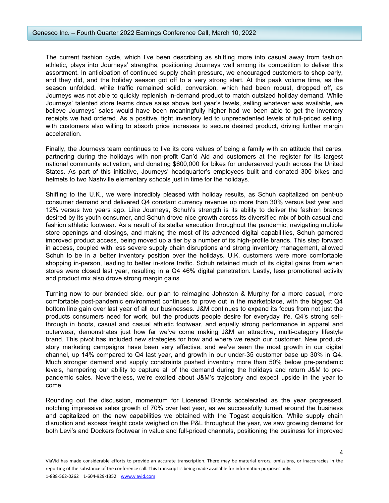The current fashion cycle, which I've been describing as shifting more into casual away from fashion athletic, plays into Journeys' strengths, positioning Journeys well among its competition to deliver this assortment. In anticipation of continued supply chain pressure, we encouraged customers to shop early, and they did, and the holiday season got off to a very strong start. At this peak volume time, as the season unfolded, while traffic remained solid, conversion, which had been robust, dropped off, as Journeys was not able to quickly replenish in-demand product to match outsized holiday demand. While Journeys' talented store teams drove sales above last year's levels, selling whatever was available, we believe Journeys' sales would have been meaningfully higher had we been able to get the inventory receipts we had ordered. As a positive, tight inventory led to unprecedented levels of full-priced selling, with customers also willing to absorb price increases to secure desired product, driving further margin acceleration.

Finally, the Journeys team continues to live its core values of being a family with an attitude that cares, partnering during the holidays with non-profit Can'd Aid and customers at the register for its largest national community activation, and donating \$600,000 for bikes for underserved youth across the United States. As part of this initiative, Journeys' headquarter's employees built and donated 300 bikes and helmets to two Nashville elementary schools just in time for the holidays.

Shifting to the U.K., we were incredibly pleased with holiday results, as Schuh capitalized on pent-up consumer demand and delivered Q4 constant currency revenue up more than 30% versus last year and 12% versus two years ago. Like Journeys, Schuh's strength is its ability to deliver the fashion brands desired by its youth consumer, and Schuh drove nice growth across its diversified mix of both casual and fashion athletic footwear. As a result of its stellar execution throughout the pandemic, navigating multiple store openings and closings, and making the most of its advanced digital capabilities, Schuh garnered improved product access, being moved up a tier by a number of its high-profile brands. This step forward in access, coupled with less severe supply chain disruptions and strong inventory management, allowed Schuh to be in a better inventory position over the holidays. U.K. customers were more comfortable shopping in-person, leading to better in-store traffic. Schuh retained much of its digital gains from when stores were closed last year, resulting in a Q4 46% digital penetration. Lastly, less promotional activity and product mix also drove strong margin gains.

Turning now to our branded side, our plan to reimagine Johnston & Murphy for a more casual, more comfortable post-pandemic environment continues to prove out in the marketplace, with the biggest Q4 bottom line gain over last year of all our businesses. J&M continues to expand its focus from not just the products consumers need for work, but the products people desire for everyday life. Q4's strong sellthrough in boots, casual and casual athletic footwear, and equally strong performance in apparel and outerwear, demonstrates just how far we've come making J&M an attractive, multi-category lifestyle brand. This pivot has included new strategies for how and where we reach our customer. New productstory marketing campaigns have been very effective, and we've seen the most growth in our digital channel, up 14% compared to Q4 last year, and growth in our under-35 customer base up 30% in Q4. Much stronger demand and supply constraints pushed inventory more than 50% below pre-pandemic levels, hampering our ability to capture all of the demand during the holidays and return J&M to prepandemic sales. Nevertheless, we're excited about J&M's trajectory and expect upside in the year to come.

Rounding out the discussion, momentum for Licensed Brands accelerated as the year progressed, notching impressive sales growth of 70% over last year, as we successfully turned around the business and capitalized on the new capabilities we obtained with the Togast acquisition. While supply chain disruption and excess freight costs weighed on the P&L throughout the year, we saw growing demand for both Levi's and Dockers footwear in value and full-priced channels, positioning the business for improved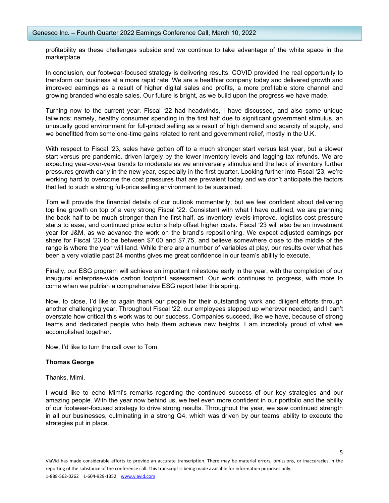profitability as these challenges subside and we continue to take advantage of the white space in the marketplace.

In conclusion, our footwear-focused strategy is delivering results. COVID provided the real opportunity to transform our business at a more rapid rate. We are a healthier company today and delivered growth and improved earnings as a result of higher digital sales and profits, a more profitable store channel and growing branded wholesale sales. Our future is bright, as we build upon the progress we have made.

Turning now to the current year, Fiscal '22 had headwinds, I have discussed, and also some unique tailwinds; namely, healthy consumer spending in the first half due to significant government stimulus, an unusually good environment for full-priced selling as a result of high demand and scarcity of supply, and we benefitted from some one-time gains related to rent and government relief, mostly in the U.K.

With respect to Fiscal '23, sales have gotten off to a much stronger start versus last year, but a slower start versus pre pandemic, driven largely by the lower inventory levels and lagging tax refunds. We are expecting year-over-year trends to moderate as we anniversary stimulus and the lack of inventory further pressures growth early in the new year, especially in the first quarter. Looking further into Fiscal '23, we're working hard to overcome the cost pressures that are prevalent today and we don't anticipate the factors that led to such a strong full-price selling environment to be sustained.

Tom will provide the financial details of our outlook momentarily, but we feel confident about delivering top line growth on top of a very strong Fiscal '22. Consistent with what I have outlined, we are planning the back half to be much stronger than the first half, as inventory levels improve, logistics cost pressure starts to ease, and continued price actions help offset higher costs. Fiscal '23 will also be an investment year for J&M, as we advance the work on the brand's repositioning. We expect adjusted earnings per share for Fiscal '23 to be between \$7.00 and \$7.75, and believe somewhere close to the middle of the range is where the year will land. While there are a number of variables at play, our results over what has been a very volatile past 24 months gives me great confidence in our team's ability to execute.

Finally, our ESG program will achieve an important milestone early in the year, with the completion of our inaugural enterprise-wide carbon footprint assessment. Our work continues to progress, with more to come when we publish a comprehensive ESG report later this spring.

Now, to close, I'd like to again thank our people for their outstanding work and diligent efforts through another challenging year. Throughout Fiscal '22, our employees stepped up wherever needed, and I can't overstate how critical this work was to our success. Companies succeed, like we have, because of strong teams and dedicated people who help them achieve new heights. I am incredibly proud of what we accomplished together.

Now, I'd like to turn the call over to Tom.

## **Thomas George**

Thanks, Mimi.

I would like to echo Mimi's remarks regarding the continued success of our key strategies and our amazing people. With the year now behind us, we feel even more confident in our portfolio and the ability of our footwear-focused strategy to drive strong results. Throughout the year, we saw continued strength in all our businesses, culminating in a strong Q4, which was driven by our teams' ability to execute the strategies put in place.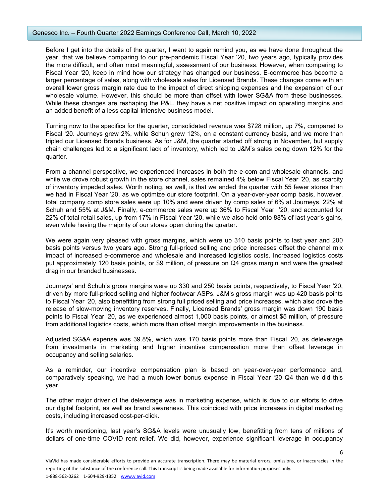Before I get into the details of the quarter, I want to again remind you, as we have done throughout the year, that we believe comparing to our pre-pandemic Fiscal Year '20, two years ago, typically provides the more difficult, and often most meaningful, assessment of our business. However, when comparing to Fiscal Year '20, keep in mind how our strategy has changed our business. E-commerce has become a larger percentage of sales, along with wholesale sales for Licensed Brands. These changes come with an overall lower gross margin rate due to the impact of direct shipping expenses and the expansion of our wholesale volume. However, this should be more than offset with lower SG&A from these businesses. While these changes are reshaping the P&L, they have a net positive impact on operating margins and an added benefit of a less capital-intensive business model.

Turning now to the specifics for the quarter, consolidated revenue was \$728 million, up 7%, compared to Fiscal '20. Journeys grew 2%, while Schuh grew 12%, on a constant currency basis, and we more than tripled our Licensed Brands business. As for J&M, the quarter started off strong in November, but supply chain challenges led to a significant lack of inventory, which led to J&M's sales being down 12% for the quarter.

From a channel perspective, we experienced increases in both the e-com and wholesale channels, and while we drove robust growth in the store channel, sales remained 4% below Fiscal Year '20, as scarcity of inventory impeded sales. Worth noting, as well, is that we ended the quarter with 55 fewer stores than we had in Fiscal Year '20, as we optimize our store footprint. On a year-over-year comp basis, however, total company comp store sales were up 10% and were driven by comp sales of 6% at Journeys, 22% at Schuh and 55% at J&M. Finally, e-commerce sales were up 36% to Fiscal Year '20, and accounted for 22% of total retail sales, up from 17% in Fiscal Year '20, while we also held onto 88% of last year's gains, even while having the majority of our stores open during the quarter.

We were again very pleased with gross margins, which were up 310 basis points to last year and 200 basis points versus two years ago. Strong full-priced selling and price increases offset the channel mix impact of increased e-commerce and wholesale and increased logistics costs. Increased logistics costs put approximately 120 basis points, or \$9 million, of pressure on Q4 gross margin and were the greatest drag in our branded businesses.

Journeys' and Schuh's gross margins were up 330 and 250 basis points, respectively, to Fiscal Year '20, driven by more full-priced selling and higher footwear ASPs. J&M's gross margin was up 420 basis points to Fiscal Year '20, also benefitting from strong full priced selling and price increases, which also drove the release of slow-moving inventory reserves. Finally, Licensed Brands' gross margin was down 190 basis points to Fiscal Year '20, as we experienced almost 1,000 basis points, or almost \$5 million, of pressure from additional logistics costs, which more than offset margin improvements in the business.

Adjusted SG&A expense was 39.8%, which was 170 basis points more than Fiscal '20, as deleverage from investments in marketing and higher incentive compensation more than offset leverage in occupancy and selling salaries.

As a reminder, our incentive compensation plan is based on year-over-year performance and, comparatively speaking, we had a much lower bonus expense in Fiscal Year '20 Q4 than we did this year.

The other major driver of the deleverage was in marketing expense, which is due to our efforts to drive our digital footprint, as well as brand awareness. This coincided with price increases in digital marketing costs, including increased cost-per-click.

It's worth mentioning, last year's SG&A levels were unusually low, benefitting from tens of millions of dollars of one-time COVID rent relief. We did, however, experience significant leverage in occupancy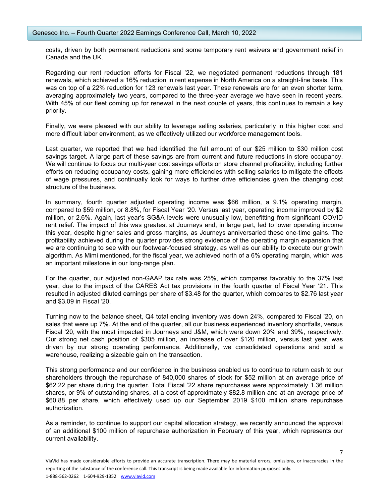costs, driven by both permanent reductions and some temporary rent waivers and government relief in Canada and the UK.

Regarding our rent reduction efforts for Fiscal '22, we negotiated permanent reductions through 181 renewals, which achieved a 16% reduction in rent expense in North America on a straight-line basis. This was on top of a 22% reduction for 123 renewals last year. These renewals are for an even shorter term, averaging approximately two years, compared to the three-year average we have seen in recent years. With 45% of our fleet coming up for renewal in the next couple of years, this continues to remain a key priority.

Finally, we were pleased with our ability to leverage selling salaries, particularly in this higher cost and more difficult labor environment, as we effectively utilized our workforce management tools.

Last quarter, we reported that we had identified the full amount of our \$25 million to \$30 million cost savings target. A large part of these savings are from current and future reductions in store occupancy. We will continue to focus our multi-year cost savings efforts on store channel profitability, including further efforts on reducing occupancy costs, gaining more efficiencies with selling salaries to mitigate the effects of wage pressures, and continually look for ways to further drive efficiencies given the changing cost structure of the business.

In summary, fourth quarter adjusted operating income was \$66 million, a 9.1% operating margin, compared to \$59 million, or 8.8%, for Fiscal Year '20. Versus last year, operating income improved by \$2 million, or 2.6%. Again, last year's SG&A levels were unusually low, benefitting from significant COVID rent relief. The impact of this was greatest at Journeys and, in large part, led to lower operating income this year, despite higher sales and gross margins, as Journeys anniversaried these one-time gains. The profitability achieved during the quarter provides strong evidence of the operating margin expansion that we are continuing to see with our footwear-focused strategy, as well as our ability to execute our growth algorithm. As Mimi mentioned, for the fiscal year, we achieved north of a 6% operating margin, which was an important milestone in our long-range plan.

For the quarter, our adjusted non-GAAP tax rate was 25%, which compares favorably to the 37% last year, due to the impact of the CARES Act tax provisions in the fourth quarter of Fiscal Year '21. This resulted in adjusted diluted earnings per share of \$3.48 for the quarter, which compares to \$2.76 last year and \$3.09 in Fiscal '20.

Turning now to the balance sheet, Q4 total ending inventory was down 24%, compared to Fiscal '20, on sales that were up 7%. At the end of the quarter, all our business experienced inventory shortfalls, versus Fiscal '20, with the most impacted in Journeys and J&M, which were down 20% and 39%, respectively. Our strong net cash position of \$305 million, an increase of over \$120 million, versus last year, was driven by our strong operating performance. Additionally, we consolidated operations and sold a warehouse, realizing a sizeable gain on the transaction.

This strong performance and our confidence in the business enabled us to continue to return cash to our shareholders through the repurchase of 840,000 shares of stock for \$52 million at an average price of \$62.22 per share during the quarter. Total Fiscal '22 share repurchases were approximately 1.36 million shares, or 9% of outstanding shares, at a cost of approximately \$82.8 million and at an average price of \$60.88 per share, which effectively used up our September 2019 \$100 million share repurchase authorization.

As a reminder, to continue to support our capital allocation strategy, we recently announced the approval of an additional \$100 million of repurchase authorization in February of this year, which represents our current availability.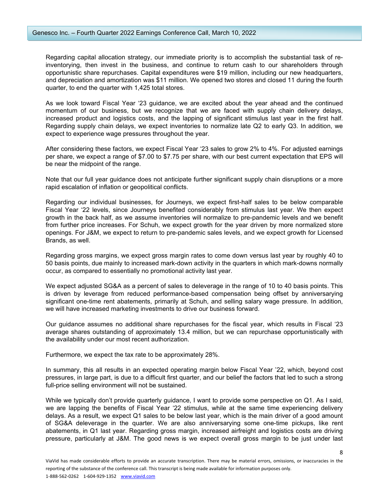Regarding capital allocation strategy, our immediate priority is to accomplish the substantial task of reinventorying, then invest in the business, and continue to return cash to our shareholders through opportunistic share repurchases. Capital expenditures were \$19 million, including our new headquarters, and depreciation and amortization was \$11 million. We opened two stores and closed 11 during the fourth quarter, to end the quarter with 1,425 total stores.

As we look toward Fiscal Year '23 guidance, we are excited about the year ahead and the continued momentum of our business, but we recognize that we are faced with supply chain delivery delays, increased product and logistics costs, and the lapping of significant stimulus last year in the first half. Regarding supply chain delays, we expect inventories to normalize late Q2 to early Q3. In addition, we expect to experience wage pressures throughout the year.

After considering these factors, we expect Fiscal Year '23 sales to grow 2% to 4%. For adjusted earnings per share, we expect a range of \$7.00 to \$7.75 per share, with our best current expectation that EPS will be near the midpoint of the range.

Note that our full year guidance does not anticipate further significant supply chain disruptions or a more rapid escalation of inflation or geopolitical conflicts.

Regarding our individual businesses, for Journeys, we expect first-half sales to be below comparable Fiscal Year '22 levels, since Journeys benefited considerably from stimulus last year. We then expect growth in the back half, as we assume inventories will normalize to pre-pandemic levels and we benefit from further price increases. For Schuh, we expect growth for the year driven by more normalized store openings. For J&M, we expect to return to pre-pandemic sales levels, and we expect growth for Licensed Brands, as well.

Regarding gross margins, we expect gross margin rates to come down versus last year by roughly 40 to 50 basis points, due mainly to increased mark-down activity in the quarters in which mark-downs normally occur, as compared to essentially no promotional activity last year.

We expect adjusted SG&A as a percent of sales to deleverage in the range of 10 to 40 basis points. This is driven by leverage from reduced performance-based compensation being offset by anniversarying significant one-time rent abatements, primarily at Schuh, and selling salary wage pressure. In addition, we will have increased marketing investments to drive our business forward.

Our guidance assumes no additional share repurchases for the fiscal year, which results in Fiscal '23 average shares outstanding of approximately 13.4 million, but we can repurchase opportunistically with the availability under our most recent authorization.

Furthermore, we expect the tax rate to be approximately 28%.

In summary, this all results in an expected operating margin below Fiscal Year '22, which, beyond cost pressures, in large part, is due to a difficult first quarter, and our belief the factors that led to such a strong full-price selling environment will not be sustained.

While we typically don't provide quarterly guidance, I want to provide some perspective on Q1. As I said, we are lapping the benefits of Fiscal Year '22 stimulus, while at the same time experiencing delivery delays. As a result, we expect Q1 sales to be below last year, which is the main driver of a good amount of SG&A deleverage in the quarter. We are also anniversarying some one-time pickups, like rent abatements, in Q1 last year. Regarding gross margin, increased airfreight and logistics costs are driving pressure, particularly at J&M. The good news is we expect overall gross margin to be just under last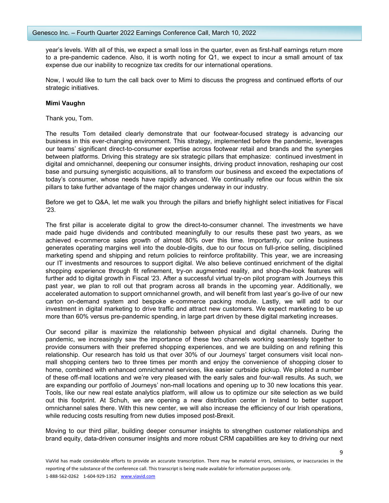year's levels. With all of this, we expect a small loss in the quarter, even as first-half earnings return more to a pre-pandemic cadence. Also, it is worth noting for Q1, we expect to incur a small amount of tax expense due our inability to recognize tax credits for our international operations.

Now, I would like to turn the call back over to Mimi to discuss the progress and continued efforts of our strategic initiatives.

#### **Mimi Vaughn**

Thank you, Tom.

The results Tom detailed clearly demonstrate that our footwear-focused strategy is advancing our business in this ever-changing environment. This strategy, implemented before the pandemic, leverages our teams' significant direct-to-consumer expertise across footwear retail and brands and the synergies between platforms. Driving this strategy are six strategic pillars that emphasize: continued investment in digital and omnichannel, deepening our consumer insights, driving product innovation, reshaping our cost base and pursuing synergistic acquisitions, all to transform our business and exceed the expectations of today's consumer, whose needs have rapidly advanced. We continually refine our focus within the six pillars to take further advantage of the major changes underway in our industry.

Before we get to Q&A, let me walk you through the pillars and briefly highlight select initiatives for Fiscal '23.

The first pillar is accelerate digital to grow the direct-to-consumer channel. The investments we have made paid huge dividends and contributed meaningfully to our results these past two years, as we achieved e-commerce sales growth of almost 80% over this time. Importantly, our online business generates operating margins well into the double-digits, due to our focus on full-price selling, disciplined marketing spend and shipping and return policies to reinforce profitability. This year, we are increasing our IT investments and resources to support digital. We also believe continued enrichment of the digital shopping experience through fit refinement, try-on augmented reality, and shop-the-look features will further add to digital growth in Fiscal '23. After a successful virtual try-on pilot program with Journeys this past year, we plan to roll out that program across all brands in the upcoming year. Additionally, we accelerated automation to support omnichannel growth, and will benefit from last year's go-live of our new carton on-demand system and bespoke e-commerce packing module. Lastly, we will add to our investment in digital marketing to drive traffic and attract new customers. We expect marketing to be up more than 60% versus pre-pandemic spending, in large part driven by these digital marketing increases.

Our second pillar is maximize the relationship between physical and digital channels. During the pandemic, we increasingly saw the importance of these two channels working seamlessly together to provide consumers with their preferred shopping experiences, and we are building on and refining this relationship. Our research has told us that over 30% of our Journeys' target consumers visit local nonmall shopping centers two to three times per month and enjoy the convenience of shopping closer to home, combined with enhanced omnichannel services, like easier curbside pickup. We piloted a number of these off-mall locations and we're very pleased with the early sales and four-wall results. As such, we are expanding our portfolio of Journeys' non-mall locations and opening up to 30 new locations this year. Tools, like our new real estate analytics platform, will allow us to optimize our site selection as we build out this footprint. At Schuh, we are opening a new distribution center in Ireland to better support omnichannel sales there. With this new center, we will also increase the efficiency of our Irish operations, while reducing costs resulting from new duties imposed post-Brexit.

Moving to our third pillar, building deeper consumer insights to strengthen customer relationships and brand equity, data-driven consumer insights and more robust CRM capabilities are key to driving our next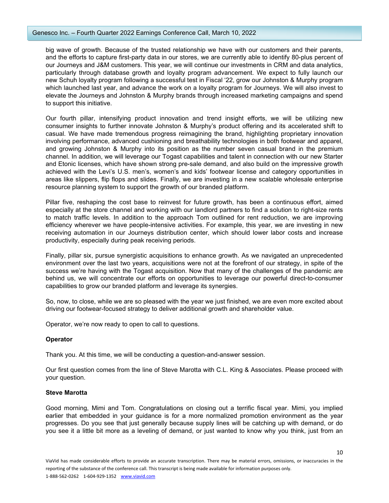#### Genesco Inc. – Fourth Quarter 2022 Earnings Conference Call, March 10, 2022

big wave of growth. Because of the trusted relationship we have with our customers and their parents, and the efforts to capture first-party data in our stores, we are currently able to identify 80-plus percent of our Journeys and J&M customers. This year, we will continue our investments in CRM and data analytics, particularly through database growth and loyalty program advancement. We expect to fully launch our new Schuh loyalty program following a successful test in Fiscal '22, grow our Johnston & Murphy program which launched last year, and advance the work on a loyalty program for Journeys. We will also invest to elevate the Journeys and Johnston & Murphy brands through increased marketing campaigns and spend to support this initiative.

Our fourth pillar, intensifying product innovation and trend insight efforts, we will be utilizing new consumer insights to further innovate Johnston & Murphy's product offering and its accelerated shift to casual. We have made tremendous progress reimagining the brand, highlighting proprietary innovation involving performance, advanced cushioning and breathability technologies in both footwear and apparel, and growing Johnston & Murphy into its position as the number seven casual brand in the premium channel. In addition, we will leverage our Togast capabilities and talent in connection with our new Starter and Etonic licenses, which have shown strong pre-sale demand, and also build on the impressive growth achieved with the Levi's U.S. men's, women's and kids' footwear license and category opportunities in areas like slippers, flip flops and slides. Finally, we are investing in a new scalable wholesale enterprise resource planning system to support the growth of our branded platform.

Pillar five, reshaping the cost base to reinvest for future growth, has been a continuous effort, aimed especially at the store channel and working with our landlord partners to find a solution to right-size rents to match traffic levels. In addition to the approach Tom outlined for rent reduction, we are improving efficiency wherever we have people-intensive activities. For example, this year, we are investing in new receiving automation in our Journeys distribution center, which should lower labor costs and increase productivity, especially during peak receiving periods.

Finally, pillar six, pursue synergistic acquisitions to enhance growth. As we navigated an unprecedented environment over the last two years, acquisitions were not at the forefront of our strategy, in spite of the success we're having with the Togast acquisition. Now that many of the challenges of the pandemic are behind us, we will concentrate our efforts on opportunities to leverage our powerful direct-to-consumer capabilities to grow our branded platform and leverage its synergies.

So, now, to close, while we are so pleased with the year we just finished, we are even more excited about driving our footwear-focused strategy to deliver additional growth and shareholder value.

Operator, we're now ready to open to call to questions.

# **Operator**

Thank you. At this time, we will be conducting a question-and-answer session.

Our first question comes from the line of Steve Marotta with C.L. King & Associates. Please proceed with your question.

## **Steve Marotta**

Good morning, Mimi and Tom. Congratulations on closing out a terrific fiscal year. Mimi, you implied earlier that embedded in your guidance is for a more normalized promotion environment as the year progresses. Do you see that just generally because supply lines will be catching up with demand, or do you see it a little bit more as a leveling of demand, or just wanted to know why you think, just from an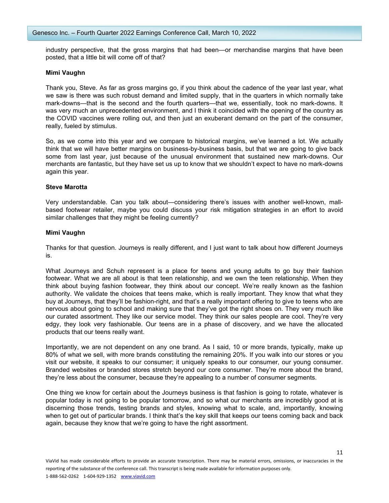industry perspective, that the gross margins that had been—or merchandise margins that have been posted, that a little bit will come off of that?

#### **Mimi Vaughn**

Thank you, Steve. As far as gross margins go, if you think about the cadence of the year last year, what we saw is there was such robust demand and limited supply, that in the quarters in which normally take mark-downs—that is the second and the fourth quarters—that we, essentially, took no mark-downs. It was very much an unprecedented environment, and I think it coincided with the opening of the country as the COVID vaccines were rolling out, and then just an exuberant demand on the part of the consumer, really, fueled by stimulus.

So, as we come into this year and we compare to historical margins, we've learned a lot. We actually think that we will have better margins on business-by-business basis, but that we are going to give back some from last year, just because of the unusual environment that sustained new mark-downs. Our merchants are fantastic, but they have set us up to know that we shouldn't expect to have no mark-downs again this year.

#### **Steve Marotta**

Very understandable. Can you talk about—considering there's issues with another well-known, mallbased footwear retailer, maybe you could discuss your risk mitigation strategies in an effort to avoid similar challenges that they might be feeling currently?

#### **Mimi Vaughn**

Thanks for that question. Journeys is really different, and I just want to talk about how different Journeys is.

What Journeys and Schuh represent is a place for teens and young adults to go buy their fashion footwear. What we are all about is that teen relationship, and we own the teen relationship. When they think about buying fashion footwear, they think about our concept. We're really known as the fashion authority. We validate the choices that teens make, which is really important. They know that what they buy at Journeys, that they'll be fashion-right, and that's a really important offering to give to teens who are nervous about going to school and making sure that they've got the right shoes on. They very much like our curated assortment. They like our service model. They think our sales people are cool. They're very edgy, they look very fashionable. Our teens are in a phase of discovery, and we have the allocated products that our teens really want.

Importantly, we are not dependent on any one brand. As I said, 10 or more brands, typically, make up 80% of what we sell, with more brands constituting the remaining 20%. If you walk into our stores or you visit our website, it speaks to our consumer; it uniquely speaks to our consumer, our young consumer. Branded websites or branded stores stretch beyond our core consumer. They're more about the brand, they're less about the consumer, because they're appealing to a number of consumer segments.

One thing we know for certain about the Journeys business is that fashion is going to rotate, whatever is popular today is not going to be popular tomorrow, and so what our merchants are incredibly good at is discerning those trends, testing brands and styles, knowing what to scale, and, importantly, knowing when to get out of particular brands. I think that's the key skill that keeps our teens coming back and back again, because they know that we're going to have the right assortment.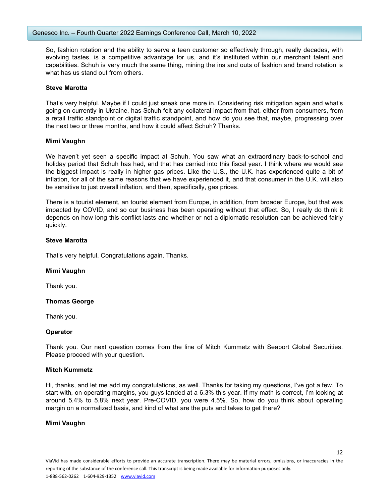So, fashion rotation and the ability to serve a teen customer so effectively through, really decades, with evolving tastes, is a competitive advantage for us, and it's instituted within our merchant talent and capabilities. Schuh is very much the same thing, mining the ins and outs of fashion and brand rotation is what has us stand out from others.

#### **Steve Marotta**

That's very helpful. Maybe if I could just sneak one more in. Considering risk mitigation again and what's going on currently in Ukraine, has Schuh felt any collateral impact from that, either from consumers, from a retail traffic standpoint or digital traffic standpoint, and how do you see that, maybe, progressing over the next two or three months, and how it could affect Schuh? Thanks.

#### **Mimi Vaughn**

We haven't yet seen a specific impact at Schuh. You saw what an extraordinary back-to-school and holiday period that Schuh has had, and that has carried into this fiscal year. I think where we would see the biggest impact is really in higher gas prices. Like the U.S., the U.K. has experienced quite a bit of inflation, for all of the same reasons that we have experienced it, and that consumer in the U.K. will also be sensitive to just overall inflation, and then, specifically, gas prices.

There is a tourist element, an tourist element from Europe, in addition, from broader Europe, but that was impacted by COVID, and so our business has been operating without that effect. So, I really do think it depends on how long this conflict lasts and whether or not a diplomatic resolution can be achieved fairly quickly.

#### **Steve Marotta**

That's very helpful. Congratulations again. Thanks.

#### **Mimi Vaughn**

Thank you.

## **Thomas George**

Thank you.

#### **Operator**

Thank you. Our next question comes from the line of Mitch Kummetz with Seaport Global Securities. Please proceed with your question.

#### **Mitch Kummetz**

Hi, thanks, and let me add my congratulations, as well. Thanks for taking my questions, I've got a few. To start with, on operating margins, you guys landed at a 6.3% this year. If my math is correct, I'm looking at around 5.4% to 5.8% next year. Pre-COVID, you were 4.5%. So, how do you think about operating margin on a normalized basis, and kind of what are the puts and takes to get there?

#### **Mimi Vaughn**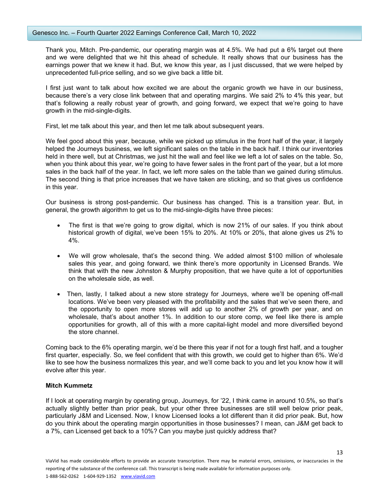Thank you, Mitch. Pre-pandemic, our operating margin was at 4.5%. We had put a 6% target out there and we were delighted that we hit this ahead of schedule. It really shows that our business has the earnings power that we knew it had. But, we know this year, as I just discussed, that we were helped by unprecedented full-price selling, and so we give back a little bit.

I first just want to talk about how excited we are about the organic growth we have in our business, because there's a very close link between that and operating margins. We said 2% to 4% this year, but that's following a really robust year of growth, and going forward, we expect that we're going to have growth in the mid-single-digits.

First, let me talk about this year, and then let me talk about subsequent years.

We feel good about this year, because, while we picked up stimulus in the front half of the year, it largely helped the Journeys business, we left significant sales on the table in the back half. I think our inventories held in there well, but at Christmas, we just hit the wall and feel like we left a lot of sales on the table. So, when you think about this year, we're going to have fewer sales in the front part of the year, but a lot more sales in the back half of the year. In fact, we left more sales on the table than we gained during stimulus. The second thing is that price increases that we have taken are sticking, and so that gives us confidence in this year.

Our business is strong post-pandemic. Our business has changed. This is a transition year. But, in general, the growth algorithm to get us to the mid-single-digits have three pieces:

- The first is that we're going to grow digital, which is now 21% of our sales. If you think about historical growth of digital, we've been 15% to 20%. At 10% or 20%, that alone gives us 2% to 4%.
- We will grow wholesale, that's the second thing. We added almost \$100 million of wholesale sales this year, and going forward, we think there's more opportunity in Licensed Brands. We think that with the new Johnston & Murphy proposition, that we have quite a lot of opportunities on the wholesale side, as well.
- Then, lastly, I talked about a new store strategy for Journeys, where we'll be opening off-mall locations. We've been very pleased with the profitability and the sales that we've seen there, and the opportunity to open more stores will add up to another 2% of growth per year, and on wholesale, that's about another 1%. In addition to our store comp, we feel like there is ample opportunities for growth, all of this with a more capital-light model and more diversified beyond the store channel.

Coming back to the 6% operating margin, we'd be there this year if not for a tough first half, and a tougher first quarter, especially. So, we feel confident that with this growth, we could get to higher than 6%. We'd like to see how the business normalizes this year, and we'll come back to you and let you know how it will evolve after this year.

## **Mitch Kummetz**

If I look at operating margin by operating group, Journeys, for '22, I think came in around 10.5%, so that's actually slightly better than prior peak, but your other three businesses are still well below prior peak, particularly J&M and Licensed. Now, I know Licensed looks a lot different than it did prior peak. But, how do you think about the operating margin opportunities in those businesses? I mean, can J&M get back to a 7%, can Licensed get back to a 10%? Can you maybe just quickly address that?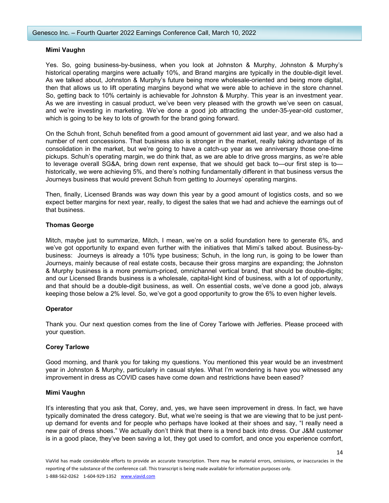#### **Mimi Vaughn**

Yes. So, going business-by-business, when you look at Johnston & Murphy, Johnston & Murphy's historical operating margins were actually 10%, and Brand margins are typically in the double-digit level. As we talked about, Johnston & Murphy's future being more wholesale-oriented and being more digital, then that allows us to lift operating margins beyond what we were able to achieve in the store channel. So, getting back to 10% certainly is achievable for Johnston & Murphy. This year is an investment year. As we are investing in casual product, we've been very pleased with the growth we've seen on casual, and we're investing in marketing. We've done a good job attracting the under-35-year-old customer, which is going to be key to lots of growth for the brand going forward.

On the Schuh front, Schuh benefited from a good amount of government aid last year, and we also had a number of rent concessions. That business also is stronger in the market, really taking advantage of its consolidation in the market, but we're going to have a catch-up year as we anniversary those one-time pickups. Schuh's operating margin, we do think that, as we are able to drive gross margins, as we're able to leverage overall SG&A, bring down rent expense, that we should get back to—our first step is to historically, we were achieving 5%, and there's nothing fundamentally different in that business versus the Journeys business that would prevent Schuh from getting to Journeys' operating margins.

Then, finally, Licensed Brands was way down this year by a good amount of logistics costs, and so we expect better margins for next year, really, to digest the sales that we had and achieve the earnings out of that business.

# **Thomas George**

Mitch, maybe just to summarize, Mitch, I mean, we're on a solid foundation here to generate 6%, and we've got opportunity to expand even further with the initiatives that Mimi's talked about. Business-bybusiness: Journeys is already a 10% type business; Schuh, in the long run, is going to be lower than Journeys, mainly because of real estate costs, because their gross margins are expanding; the Johnston & Murphy business is a more premium-priced, omnichannel vertical brand, that should be double-digits; and our Licensed Brands business is a wholesale, capital-light kind of business, with a lot of opportunity, and that should be a double-digit business, as well. On essential costs, we've done a good job, always keeping those below a 2% level. So, we've got a good opportunity to grow the 6% to even higher levels.

## **Operator**

Thank you. Our next question comes from the line of Corey Tarlowe with Jefferies. Please proceed with your question.

## **Corey Tarlowe**

Good morning, and thank you for taking my questions. You mentioned this year would be an investment year in Johnston & Murphy, particularly in casual styles. What I'm wondering is have you witnessed any improvement in dress as COVID cases have come down and restrictions have been eased?

## **Mimi Vaughn**

It's interesting that you ask that, Corey, and, yes, we have seen improvement in dress. In fact, we have typically dominated the dress category. But, what we're seeing is that we are viewing that to be just pentup demand for events and for people who perhaps have looked at their shoes and say, "I really need a new pair of dress shoes." We actually don't think that there is a trend back into dress. Our J&M customer is in a good place, they've been saving a lot, they got used to comfort, and once you experience comfort,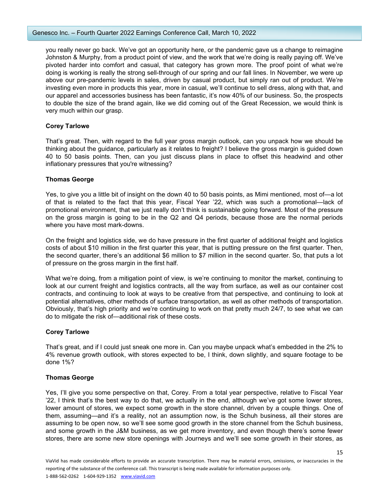you really never go back. We've got an opportunity here, or the pandemic gave us a change to reimagine Johnston & Murphy, from a product point of view, and the work that we're doing is really paying off. We've pivoted harder into comfort and casual, that category has grown more. The proof point of what we're doing is working is really the strong sell-through of our spring and our fall lines. In November, we were up above our pre-pandemic levels in sales, driven by casual product, but simply ran out of product. We're investing even more in products this year, more in casual, we'll continue to sell dress, along with that, and our apparel and accessories business has been fantastic, it's now 40% of our business. So, the prospects to double the size of the brand again, like we did coming out of the Great Recession, we would think is very much within our grasp.

# **Corey Tarlowe**

That's great. Then, with regard to the full year gross margin outlook, can you unpack how we should be thinking about the guidance, particularly as it relates to freight? I believe the gross margin is guided down 40 to 50 basis points. Then, can you just discuss plans in place to offset this headwind and other inflationary pressures that you're witnessing?

## **Thomas George**

Yes, to give you a little bit of insight on the down 40 to 50 basis points, as Mimi mentioned, most of—a lot of that is related to the fact that this year, Fiscal Year '22, which was such a promotional—lack of promotional environment, that we just really don't think is sustainable going forward. Most of the pressure on the gross margin is going to be in the Q2 and Q4 periods, because those are the normal periods where you have most mark-downs.

On the freight and logistics side, we do have pressure in the first quarter of additional freight and logistics costs of about \$10 million in the first quarter this year, that is putting pressure on the first quarter. Then, the second quarter, there's an additional \$6 million to \$7 million in the second quarter. So, that puts a lot of pressure on the gross margin in the first half.

What we're doing, from a mitigation point of view, is we're continuing to monitor the market, continuing to look at our current freight and logistics contracts, all the way from surface, as well as our container cost contracts, and continuing to look at ways to be creative from that perspective, and continuing to look at potential alternatives, other methods of surface transportation, as well as other methods of transportation. Obviously, that's high priority and we're continuing to work on that pretty much 24/7, to see what we can do to mitigate the risk of—additional risk of these costs.

# **Corey Tarlowe**

That's great, and if I could just sneak one more in. Can you maybe unpack what's embedded in the 2% to 4% revenue growth outlook, with stores expected to be, I think, down slightly, and square footage to be done 1%?

## **Thomas George**

Yes, I'll give you some perspective on that, Corey. From a total year perspective, relative to Fiscal Year '22, I think that's the best way to do that, we actually in the end, although we've got some lower stores, lower amount of stores, we expect some growth in the store channel, driven by a couple things. One of them, assuming—and it's a reality, not an assumption now, is the Schuh business, all their stores are assuming to be open now, so we'll see some good growth in the store channel from the Schuh business, and some growth in the J&M business, as we get more inventory, and even though there's some fewer stores, there are some new store openings with Journeys and we'll see some growth in their stores, as